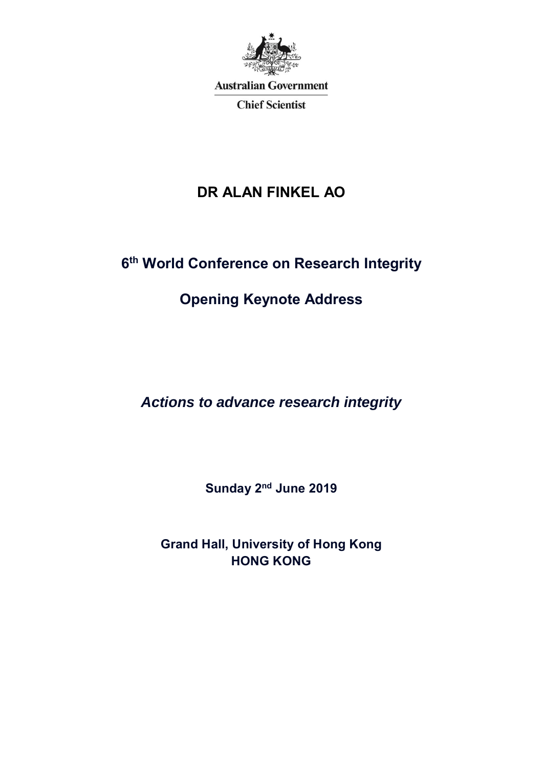

**Australian Government** 

**Chief Scientist** 

## **DR ALAN FINKEL AO**

## **6 th World Conference on Research Integrity**

## **Opening Keynote Address**

*Actions to advance research integrity*

**Sunday 2 nd June 2019**

**Grand Hall, University of Hong Kong HONG KONG**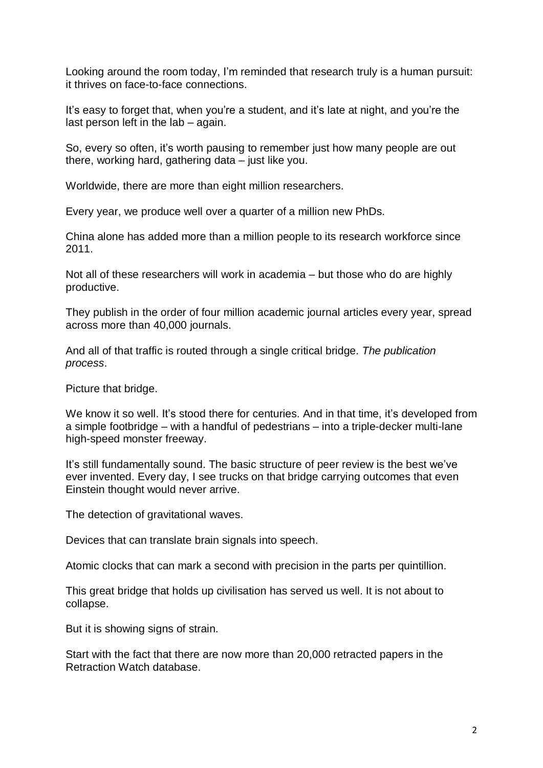Looking around the room today, I'm reminded that research truly is a human pursuit: it thrives on face-to-face connections.

It's easy to forget that, when you're a student, and it's late at night, and you're the last person left in the lab – again.

So, every so often, it's worth pausing to remember just how many people are out there, working hard, gathering data – just like you.

Worldwide, there are more than eight million researchers.

Every year, we produce well over a quarter of a million new PhDs.

China alone has added more than a million people to its research workforce since 2011.

Not all of these researchers will work in academia – but those who do are highly productive.

They publish in the order of four million academic journal articles every year, spread across more than 40,000 journals.

And all of that traffic is routed through a single critical bridge. *The publication process*.

Picture that bridge.

We know it so well. It's stood there for centuries. And in that time, it's developed from a simple footbridge – with a handful of pedestrians – into a triple-decker multi-lane high-speed monster freeway.

It's still fundamentally sound. The basic structure of peer review is the best we've ever invented. Every day, I see trucks on that bridge carrying outcomes that even Einstein thought would never arrive.

The detection of gravitational waves.

Devices that can translate brain signals into speech.

Atomic clocks that can mark a second with precision in the parts per quintillion.

This great bridge that holds up civilisation has served us well. It is not about to collapse.

But it is showing signs of strain.

Start with the fact that there are now more than 20,000 retracted papers in the Retraction Watch database.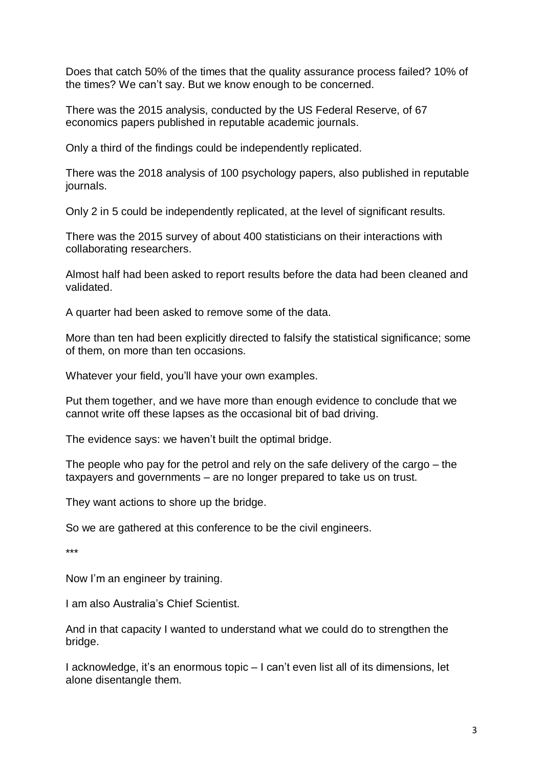Does that catch 50% of the times that the quality assurance process failed? 10% of the times? We can't say. But we know enough to be concerned.

There was the 2015 analysis, conducted by the US Federal Reserve, of 67 economics papers published in reputable academic journals.

Only a third of the findings could be independently replicated.

There was the 2018 analysis of 100 psychology papers, also published in reputable journals.

Only 2 in 5 could be independently replicated, at the level of significant results.

There was the 2015 survey of about 400 statisticians on their interactions with collaborating researchers.

Almost half had been asked to report results before the data had been cleaned and validated.

A quarter had been asked to remove some of the data.

More than ten had been explicitly directed to falsify the statistical significance; some of them, on more than ten occasions.

Whatever your field, you'll have your own examples.

Put them together, and we have more than enough evidence to conclude that we cannot write off these lapses as the occasional bit of bad driving.

The evidence says: we haven't built the optimal bridge.

The people who pay for the petrol and rely on the safe delivery of the cargo – the taxpayers and governments – are no longer prepared to take us on trust.

They want actions to shore up the bridge.

So we are gathered at this conference to be the civil engineers.

\*\*\*

Now I'm an engineer by training.

I am also Australia's Chief Scientist.

And in that capacity I wanted to understand what we could do to strengthen the bridge.

I acknowledge, it's an enormous topic – I can't even list all of its dimensions, let alone disentangle them.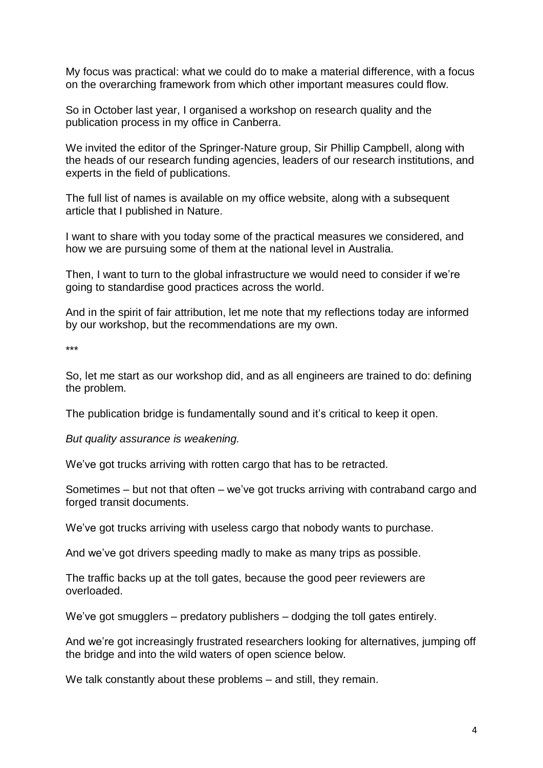My focus was practical: what we could do to make a material difference, with a focus on the overarching framework from which other important measures could flow.

So in October last year, I organised a workshop on research quality and the publication process in my office in Canberra.

We invited the editor of the Springer-Nature group, Sir Phillip Campbell, along with the heads of our research funding agencies, leaders of our research institutions, and experts in the field of publications.

The full list of names is available on my office website, along with a subsequent article that I published in Nature.

I want to share with you today some of the practical measures we considered, and how we are pursuing some of them at the national level in Australia.

Then, I want to turn to the global infrastructure we would need to consider if we're going to standardise good practices across the world.

And in the spirit of fair attribution, let me note that my reflections today are informed by our workshop, but the recommendations are my own.

\*\*\*

So, let me start as our workshop did, and as all engineers are trained to do: defining the problem.

The publication bridge is fundamentally sound and it's critical to keep it open.

*But quality assurance is weakening.*

We've got trucks arriving with rotten cargo that has to be retracted.

Sometimes – but not that often – we've got trucks arriving with contraband cargo and forged transit documents.

We've got trucks arriving with useless cargo that nobody wants to purchase.

And we've got drivers speeding madly to make as many trips as possible.

The traffic backs up at the toll gates, because the good peer reviewers are overloaded.

We've got smugglers – predatory publishers – dodging the toll gates entirely.

And we're got increasingly frustrated researchers looking for alternatives, jumping off the bridge and into the wild waters of open science below.

We talk constantly about these problems – and still, they remain.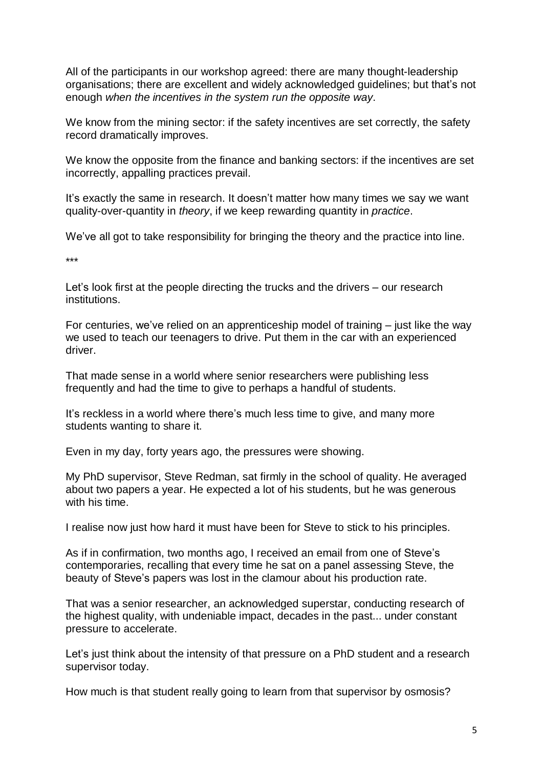All of the participants in our workshop agreed: there are many thought-leadership organisations; there are excellent and widely acknowledged guidelines; but that's not enough *when the incentives in the system run the opposite way*.

We know from the mining sector: if the safety incentives are set correctly, the safety record dramatically improves.

We know the opposite from the finance and banking sectors: if the incentives are set incorrectly, appalling practices prevail.

It's exactly the same in research. It doesn't matter how many times we say we want quality-over-quantity in *theory*, if we keep rewarding quantity in *practice*.

We've all got to take responsibility for bringing the theory and the practice into line.

\*\*\*

Let's look first at the people directing the trucks and the drivers – our research institutions.

For centuries, we've relied on an apprenticeship model of training – just like the way we used to teach our teenagers to drive. Put them in the car with an experienced driver.

That made sense in a world where senior researchers were publishing less frequently and had the time to give to perhaps a handful of students.

It's reckless in a world where there's much less time to give, and many more students wanting to share it.

Even in my day, forty years ago, the pressures were showing.

My PhD supervisor, Steve Redman, sat firmly in the school of quality. He averaged about two papers a year. He expected a lot of his students, but he was generous with his time.

I realise now just how hard it must have been for Steve to stick to his principles.

As if in confirmation, two months ago, I received an email from one of Steve's contemporaries, recalling that every time he sat on a panel assessing Steve, the beauty of Steve's papers was lost in the clamour about his production rate.

That was a senior researcher, an acknowledged superstar, conducting research of the highest quality, with undeniable impact, decades in the past... under constant pressure to accelerate.

Let's just think about the intensity of that pressure on a PhD student and a research supervisor today.

How much is that student really going to learn from that supervisor by osmosis?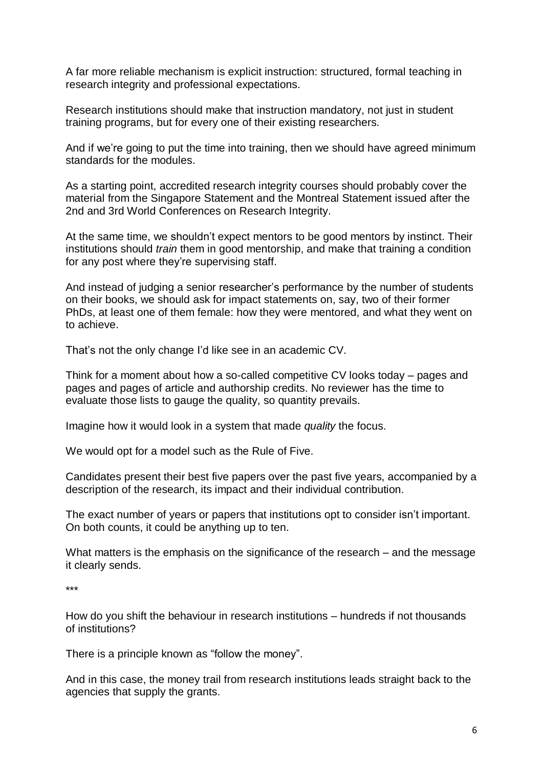A far more reliable mechanism is explicit instruction: structured, formal teaching in research integrity and professional expectations.

Research institutions should make that instruction mandatory, not just in student training programs, but for every one of their existing researchers.

And if we're going to put the time into training, then we should have agreed minimum standards for the modules.

As a starting point, accredited research integrity courses should probably cover the material from the Singapore Statement and the Montreal Statement issued after the 2nd and 3rd World Conferences on Research Integrity.

At the same time, we shouldn't expect mentors to be good mentors by instinct. Their institutions should *train* them in good mentorship, and make that training a condition for any post where they're supervising staff.

And instead of judging a senior researcher's performance by the number of students on their books, we should ask for impact statements on, say, two of their former PhDs, at least one of them female: how they were mentored, and what they went on to achieve.

That's not the only change I'd like see in an academic CV.

Think for a moment about how a so-called competitive CV looks today – pages and pages and pages of article and authorship credits. No reviewer has the time to evaluate those lists to gauge the quality, so quantity prevails.

Imagine how it would look in a system that made *quality* the focus.

We would opt for a model such as the Rule of Five.

Candidates present their best five papers over the past five years, accompanied by a description of the research, its impact and their individual contribution.

The exact number of years or papers that institutions opt to consider isn't important. On both counts, it could be anything up to ten.

What matters is the emphasis on the significance of the research – and the message it clearly sends.

\*\*\*

How do you shift the behaviour in research institutions – hundreds if not thousands of institutions?

There is a principle known as "follow the money".

And in this case, the money trail from research institutions leads straight back to the agencies that supply the grants.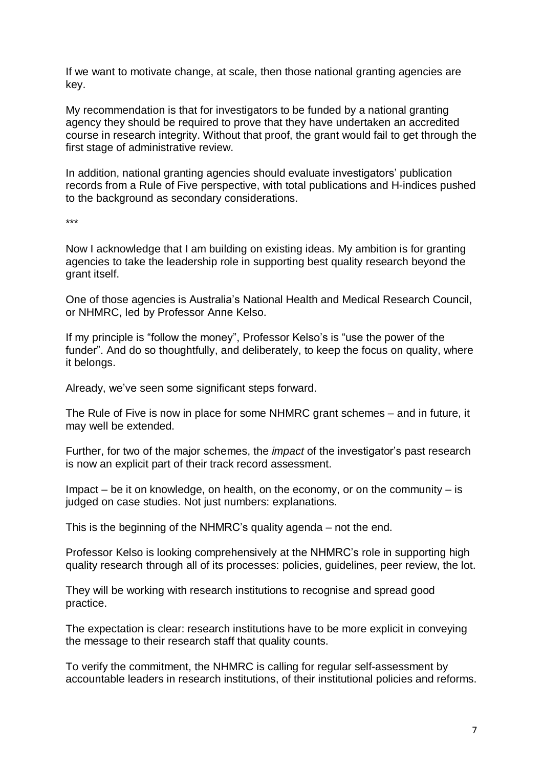If we want to motivate change, at scale, then those national granting agencies are key.

My recommendation is that for investigators to be funded by a national granting agency they should be required to prove that they have undertaken an accredited course in research integrity. Without that proof, the grant would fail to get through the first stage of administrative review.

In addition, national granting agencies should evaluate investigators' publication records from a Rule of Five perspective, with total publications and H-indices pushed to the background as secondary considerations.

\*\*\*

Now I acknowledge that I am building on existing ideas. My ambition is for granting agencies to take the leadership role in supporting best quality research beyond the grant itself.

One of those agencies is Australia's National Health and Medical Research Council, or NHMRC, led by Professor Anne Kelso.

If my principle is "follow the money", Professor Kelso's is "use the power of the funder". And do so thoughtfully, and deliberately, to keep the focus on quality, where it belongs.

Already, we've seen some significant steps forward.

The Rule of Five is now in place for some NHMRC grant schemes – and in future, it may well be extended.

Further, for two of the major schemes, the *impact* of the investigator's past research is now an explicit part of their track record assessment.

Impact – be it on knowledge, on health, on the economy, or on the community – is judged on case studies. Not just numbers: explanations.

This is the beginning of the NHMRC's quality agenda – not the end.

Professor Kelso is looking comprehensively at the NHMRC's role in supporting high quality research through all of its processes: policies, guidelines, peer review, the lot.

They will be working with research institutions to recognise and spread good practice.

The expectation is clear: research institutions have to be more explicit in conveying the message to their research staff that quality counts.

To verify the commitment, the NHMRC is calling for regular self-assessment by accountable leaders in research institutions, of their institutional policies and reforms.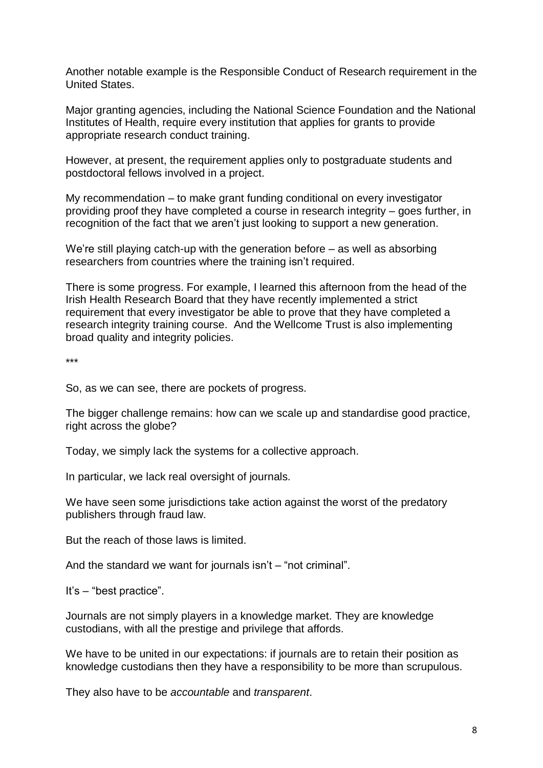Another notable example is the Responsible Conduct of Research requirement in the United States.

Major granting agencies, including the National Science Foundation and the National Institutes of Health, require every institution that applies for grants to provide appropriate research conduct training.

However, at present, the requirement applies only to postgraduate students and postdoctoral fellows involved in a project.

My recommendation – to make grant funding conditional on every investigator providing proof they have completed a course in research integrity – goes further, in recognition of the fact that we aren't just looking to support a new generation.

We're still playing catch-up with the generation before – as well as absorbing researchers from countries where the training isn't required.

There is some progress. For example, I learned this afternoon from the head of the Irish Health Research Board that they have recently implemented a strict requirement that every investigator be able to prove that they have completed a research integrity training course. And the Wellcome Trust is also implementing broad quality and integrity policies.

\*\*\*

So, as we can see, there are pockets of progress.

The bigger challenge remains: how can we scale up and standardise good practice, right across the globe?

Today, we simply lack the systems for a collective approach.

In particular, we lack real oversight of journals.

We have seen some jurisdictions take action against the worst of the predatory publishers through fraud law.

But the reach of those laws is limited.

And the standard we want for journals isn't – "not criminal".

It's – "best practice".

Journals are not simply players in a knowledge market. They are knowledge custodians, with all the prestige and privilege that affords.

We have to be united in our expectations: if journals are to retain their position as knowledge custodians then they have a responsibility to be more than scrupulous.

They also have to be *accountable* and *transparent*.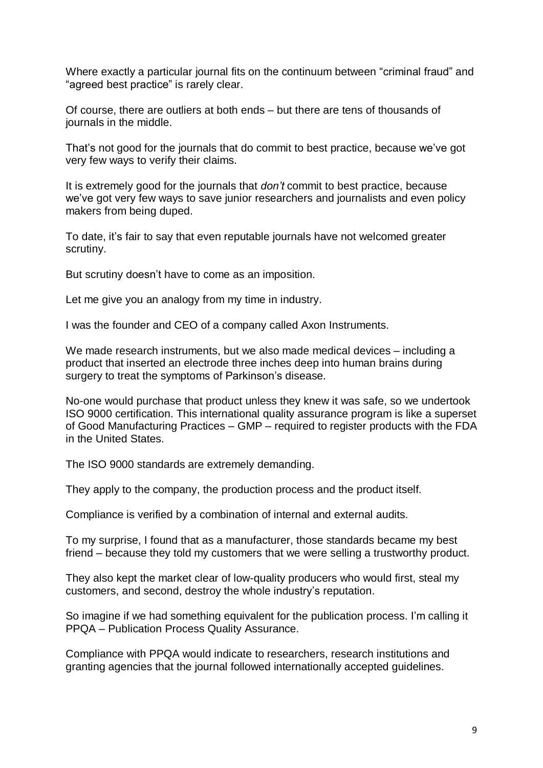Where exactly a particular journal fits on the continuum between "criminal fraud" and "agreed best practice" is rarely clear.

Of course, there are outliers at both ends – but there are tens of thousands of journals in the middle.

That's not good for the journals that do commit to best practice, because we've got very few ways to verify their claims.

It is extremely good for the journals that *don't* commit to best practice, because we've got very few ways to save junior researchers and journalists and even policy makers from being duped.

To date, it's fair to say that even reputable journals have not welcomed greater scrutiny.

But scrutiny doesn't have to come as an imposition.

Let me give you an analogy from my time in industry.

I was the founder and CEO of a company called Axon Instruments.

We made research instruments, but we also made medical devices – including a product that inserted an electrode three inches deep into human brains during surgery to treat the symptoms of Parkinson's disease.

No-one would purchase that product unless they knew it was safe, so we undertook ISO 9000 certification. This international quality assurance program is like a superset of Good Manufacturing Practices – GMP – required to register products with the FDA in the United States.

The ISO 9000 standards are extremely demanding.

They apply to the company, the production process and the product itself.

Compliance is verified by a combination of internal and external audits.

To my surprise, I found that as a manufacturer, those standards became my best friend – because they told my customers that we were selling a trustworthy product.

They also kept the market clear of low-quality producers who would first, steal my customers, and second, destroy the whole industry's reputation.

So imagine if we had something equivalent for the publication process. I'm calling it PPQA – Publication Process Quality Assurance.

Compliance with PPQA would indicate to researchers, research institutions and granting agencies that the journal followed internationally accepted guidelines.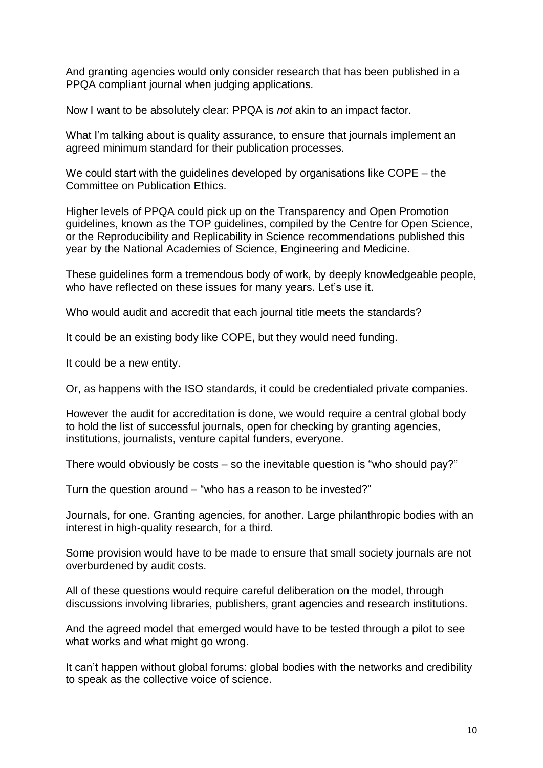And granting agencies would only consider research that has been published in a PPQA compliant journal when judging applications.

Now I want to be absolutely clear: PPQA is *not* akin to an impact factor.

What I'm talking about is quality assurance, to ensure that journals implement an agreed minimum standard for their publication processes.

We could start with the guidelines developed by organisations like COPE – the Committee on Publication Ethics.

Higher levels of PPQA could pick up on the Transparency and Open Promotion guidelines, known as the TOP guidelines, compiled by the Centre for Open Science, or the Reproducibility and Replicability in Science recommendations published this year by the National Academies of Science, Engineering and Medicine.

These guidelines form a tremendous body of work, by deeply knowledgeable people, who have reflected on these issues for many years. Let's use it.

Who would audit and accredit that each journal title meets the standards?

It could be an existing body like COPE, but they would need funding.

It could be a new entity.

Or, as happens with the ISO standards, it could be credentialed private companies.

However the audit for accreditation is done, we would require a central global body to hold the list of successful journals, open for checking by granting agencies, institutions, journalists, venture capital funders, everyone.

There would obviously be costs – so the inevitable question is "who should pay?"

Turn the question around – "who has a reason to be invested?"

Journals, for one. Granting agencies, for another. Large philanthropic bodies with an interest in high-quality research, for a third.

Some provision would have to be made to ensure that small society journals are not overburdened by audit costs.

All of these questions would require careful deliberation on the model, through discussions involving libraries, publishers, grant agencies and research institutions.

And the agreed model that emerged would have to be tested through a pilot to see what works and what might go wrong.

It can't happen without global forums: global bodies with the networks and credibility to speak as the collective voice of science.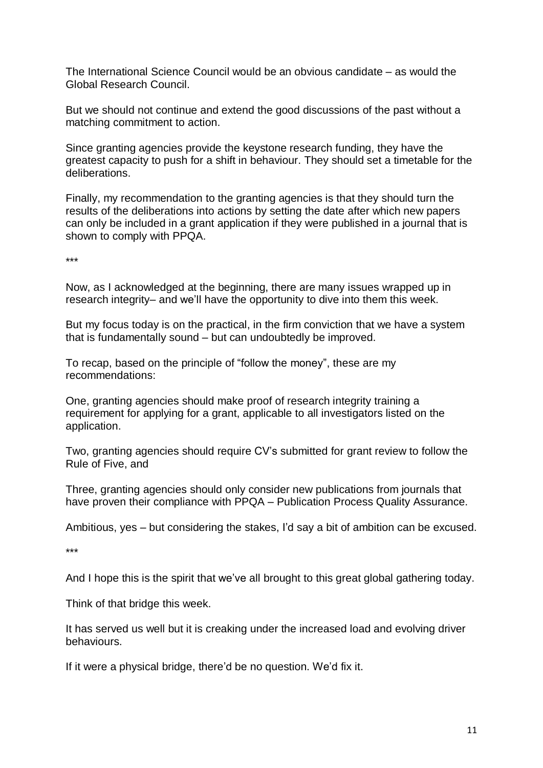The International Science Council would be an obvious candidate – as would the Global Research Council.

But we should not continue and extend the good discussions of the past without a matching commitment to action.

Since granting agencies provide the keystone research funding, they have the greatest capacity to push for a shift in behaviour. They should set a timetable for the deliberations.

Finally, my recommendation to the granting agencies is that they should turn the results of the deliberations into actions by setting the date after which new papers can only be included in a grant application if they were published in a journal that is shown to comply with PPQA.

\*\*\*

Now, as I acknowledged at the beginning, there are many issues wrapped up in research integrity– and we'll have the opportunity to dive into them this week.

But my focus today is on the practical, in the firm conviction that we have a system that is fundamentally sound – but can undoubtedly be improved.

To recap, based on the principle of "follow the money", these are my recommendations:

One, granting agencies should make proof of research integrity training a requirement for applying for a grant, applicable to all investigators listed on the application.

Two, granting agencies should require CV's submitted for grant review to follow the Rule of Five, and

Three, granting agencies should only consider new publications from journals that have proven their compliance with PPQA – Publication Process Quality Assurance.

Ambitious, yes – but considering the stakes, I'd say a bit of ambition can be excused.

\*\*\*

And I hope this is the spirit that we've all brought to this great global gathering today.

Think of that bridge this week.

It has served us well but it is creaking under the increased load and evolving driver behaviours.

If it were a physical bridge, there'd be no question. We'd fix it.